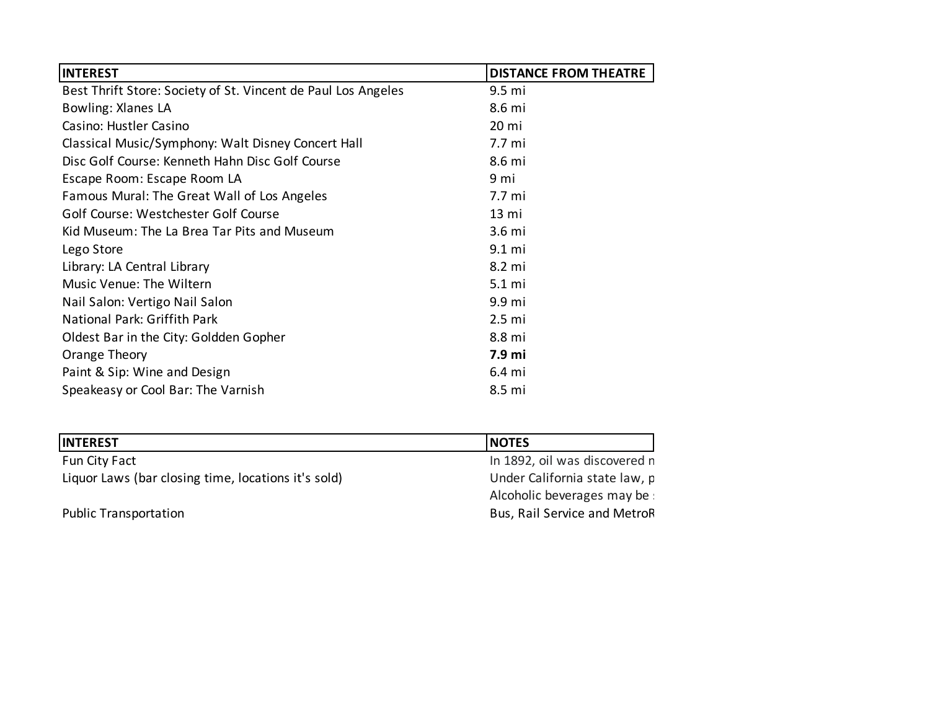| <b>INTEREST</b>                                               | <b>DISTANCE FROM THEATRE</b> |
|---------------------------------------------------------------|------------------------------|
| Best Thrift Store: Society of St. Vincent de Paul Los Angeles | 9.5 mi                       |
| Bowling: Xlanes LA                                            | 8.6 mi                       |
| Casino: Hustler Casino                                        | 20 mi                        |
| Classical Music/Symphony: Walt Disney Concert Hall            | 7.7 mi                       |
| Disc Golf Course: Kenneth Hahn Disc Golf Course               | 8.6 mi                       |
| Escape Room: Escape Room LA                                   | 9 mi                         |
| Famous Mural: The Great Wall of Los Angeles                   | 7.7 mi                       |
| Golf Course: Westchester Golf Course                          | 13 mi                        |
| Kid Museum: The La Brea Tar Pits and Museum                   | 3.6 mi                       |
| Lego Store                                                    | 9.1 mi                       |
| Library: LA Central Library                                   | 8.2 mi                       |
| Music Venue: The Wiltern                                      | $5.1 \text{ mi}$             |
| Nail Salon: Vertigo Nail Salon                                | 9.9 mi                       |
| National Park: Griffith Park                                  | 2.5 <sub>m</sub>             |
| Oldest Bar in the City: Goldden Gopher                        | 8.8 mi                       |
| Orange Theory                                                 | 7.9 mi                       |
| Paint & Sip: Wine and Design                                  | 6.4 mi                       |
| Speakeasy or Cool Bar: The Varnish                            | 8.5 mi                       |

| <b>INTEREST</b>                                     | <b>NOTES</b>                  |
|-----------------------------------------------------|-------------------------------|
| Fun City Fact                                       | In 1892, oil was discovered n |
| Liquor Laws (bar closing time, locations it's sold) | Under California state law, p |
|                                                     | Alcoholic beverages may be :  |
| <b>Public Transportation</b>                        | Bus, Rail Service and MetroR  |